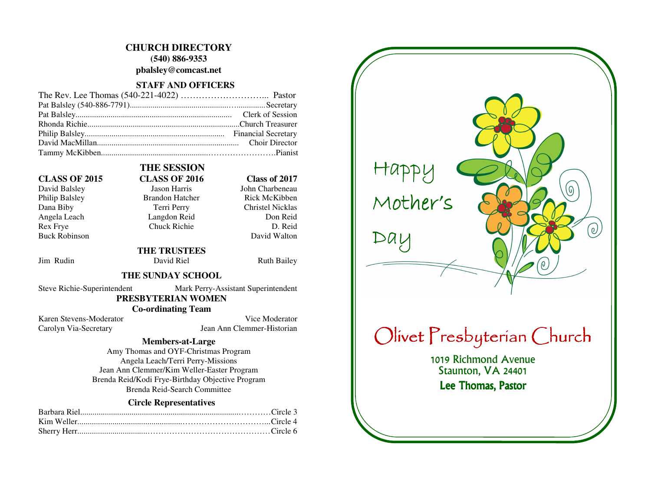# **CHURCH DIRECTORY**

**(540) 886-9353** 

**pbalsley@comcast.net** 

## **STAFF AND OFFICERS**

### **CLASS OF 2015 CLASS OF 2016 Class of 2017**

Philip Balsley Brandon Hatcher Dana Biby Terri Perry Christel Nicklas Angela Leach Langdon Reid Rex Frye Chuck Richie **Buck Robinson** 

# **THE SESSION**

David Balsley Jason Harris John Charbeneau

 **THE TRUSTEES** 

Jim Rudin David Riel Ruth Bailey

David Walton

Don Reid

D. Reid

Rick McKibben

### **THE SUNDAY SCHOOL**

Steve Richie-Superintendent Mark Perry-Assistant Superintendent

### **PRESBYTERIAN WOMEN**

 **Co-ordinating Team** 

Karen Stevens-Moderator Vice Moderator Carolyn Via-Secretary Jean Ann Clemmer-Historian

### **Members-at-Large**

 Amy Thomas and OYF-Christmas Program Angela Leach/Terri Perry-Missions Jean Ann Clemmer/Kim Weller-Easter Program Brenda Reid/Kodi Frye-Birthday Objective Program Brenda Reid-Search Committee

### **Circle Representatives**